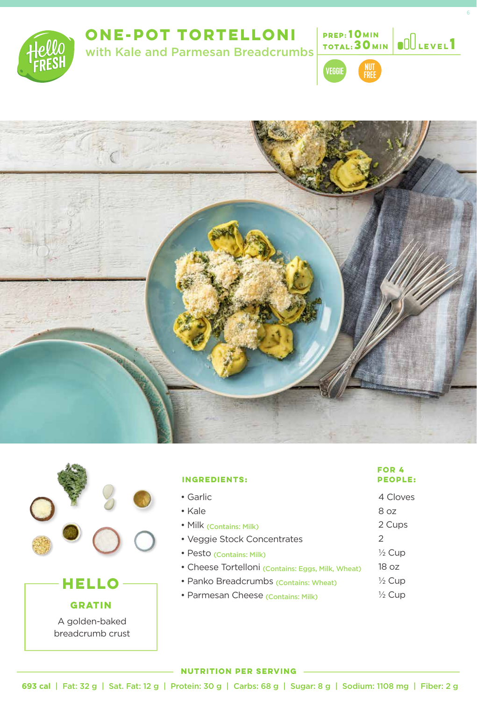

# **ONE-POT TORTELLONI**

with Kale and Parmesan Breadcrumbs



**10 MIN TOTAL: 30 MIN** 

**1 MIN Level**





### **GRATIN**

A golden-baked breadcrumb crust

# **INGREDIENTS:** • Garlic • Kale

- Milk (Contains: Milk) • Veggie Stock Concentrates
- Pesto (Contains: Milk)
- Cheese Tortelloni (Contains: Eggs, Milk, Wheat)
- Panko Breadcrumbs (Contains: Wheat)
- Parmesan Cheese (Contains: Milk)

# **FOR 4**

- 4 Cloves
- 8 oz
- 2 Cups
- 2
- $\frac{1}{2}$  Cup
- 18 oz
- $\frac{1}{2}$  Cup
- $\frac{1}{2}$  Cup

#### **NUTRITION PER SERVING**